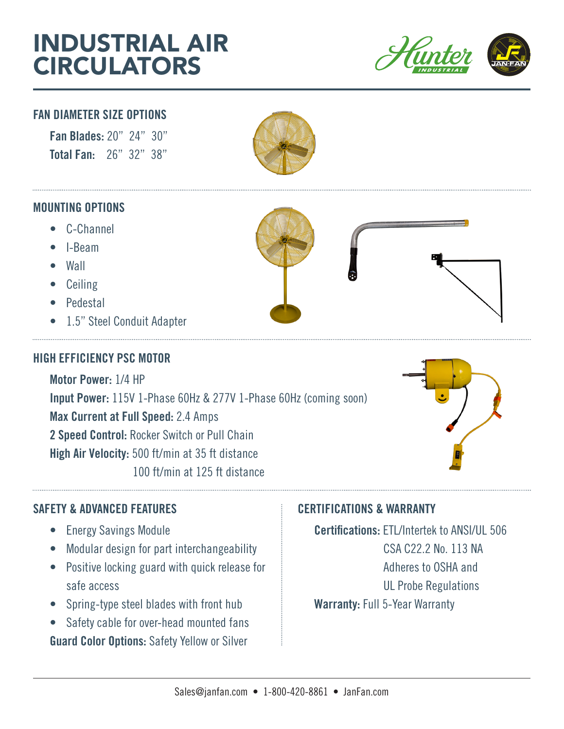# INDUSTRIAL AIR **CIRCULATORS**



P.O. Box 1127 Troy, MI 48099-1127 USA WWW.JANFAN.COM

### FAN DIAMETER SIZE OPTIONS

Fan Blades: 20" 24" 30" Total Fan: 26" 32" 38"



#### MOUNTING OPTIONS

- C-Channel
- I-Beam
- Wall
- Ceiling
- Pedestal
- 1.5" Steel Conduit Adapter

# HIGH EFFICIENCY PSC MOTOR

Motor Power: 1/4 HP Input Power: 115V 1-Phase 60Hz & 277V 1-Phase 60Hz (coming soon) Max Current at Full Speed: 2.4 Amps 2 Speed Control: Rocker Switch or Pull Chain High Air Velocity: 500 ft/min at 35 ft distance 100 ft/min at 125 ft distance



# SAFETY & ADVANCED FEATURES EXAMPLE THE CERTIFICATIONS & WARRANTY

- Energy Savings Module
- Modular design for part interchangeability
- Positive locking guard with quick release for safe access
- Spring-type steel blades with front hub
- Safety cable for over-head mounted fans Guard Color Options: Safety Yellow or Silver

Certifications: ETL/Intertek to ANSI/UL 506 CSA C22.2 No. 113 NA Adheres to OSHA and UL Probe Regulations Warranty: Full 5-Year Warranty